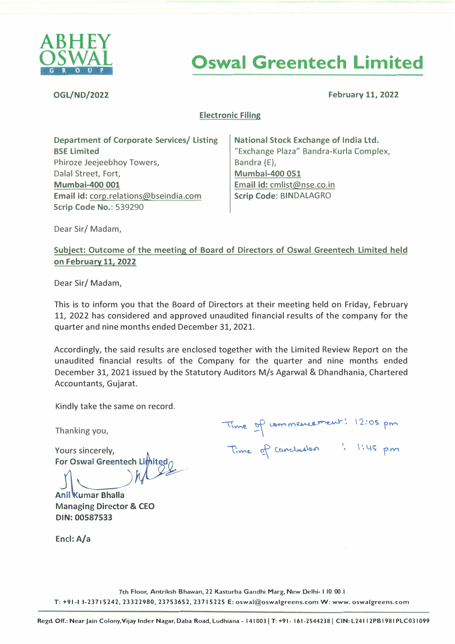

# **Oswal Greentech Limited**

**OGL/ND/2022 February 11, 2022** 

# **Electronic Filing**

**Department of Corporate Services/ Listing BSE Limited**  Phiroze Jeejeebhoy Towers, Dalal Street, Fort, **Mumbai-400 001 Email id:** corp.relations@bseindia.com **Scrip Code No.:** 539290

**National Stock Exchange of India Ltd.**  "Exchange Plaza" Bandra-Kurla Complex, Bandra (E), **Mumbai-400 051**  Email id: cmlist@nse.co.in **Scrip Code:** BINDALAGRO

Dear Sir/ Madam,

# **Subject: Outcome of the meeting of Board of Directors of Oswal Greentech Limited held on February 11, 2022**

Dear Sir/ Madam,

This is to inform you that the Board of Directors at their meeting held on Friday, February 11, 2022 has considered and approved unaudited financial results of the company for the quarter and nine months ended December 31, 2021.

Accordingly, the said results are enclosed together with the Limited Review Report on the unaudited financial results of the Company for the quarter and nine months ended December 31, 2021 issued by the Statutory Auditors M/s Agarwal & Dhandhania, Chartered Accountants, Gujarat.

Kindly take the same on record.

Thanking you,

Yours sincerely, For Oswal Greentech Limited

**Anil Kumar Bhalla** Managing Director & CEO **DIN:00587533** 

Time of commencement: 12:05 pm Time of concludion : 1:45 pm

Encl: A/a

7th Floor, Antriksh Bhawan, 22 Kasturba Gandhi Marg, New Delhi-110 00 1 **T: +91-1 1-23715242, 23322980, 23753652, 23715225 E: oswal@oswalgreens.com W:www.oswalgreens.com**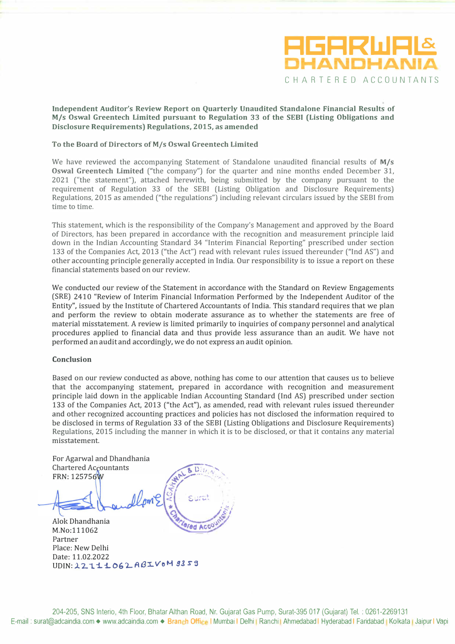

## **Independent Auditor's Review Report on Quarterly Unaudited Standalone Financial Results of M/s Oswal Greentech Limited pursuant to Regulation 33 of the SEBI (Listing Obligations and Disclosure Requirements) Regulations, 2015, as amended**

### **To the Board of Directors ofM/s Oswal Greentech Limited**

We *have* reviewed the accompanying Statement of Standalone unaudited financial results of **M/s Oswal Greentech Limited** ("the company") for the quarter and nine months ended December 31, 2021 ("the statement"), attached herewith, being submitted by the company pursuant to the requirement of Regulation 33 of the SEBI (Listing Obligation and Disclosure Requirements) Regulations, 2015 as amended ("the regulations") including relevant circulars issued by the SEBI from time to time.

This statement, which is the responsibility of the Company's Management and approved by the Board of Directors, has been prepared in accordance with the recognition and measurement principle laid down in the Indian Accounting Standard 34 "Interim Financial Reporting" prescribed under section 133 of the Companies Act, 2013 ("the Act") read with relevant rules issued thereunder ("Ind AS") and other accounting principle generally accepted in India. Our responsibility is to issue a report on these financial statements based on our review.

We conducted our review of the Statement in accordance with the Standard on Review Engagements (SRE) 2410 "Review of Interim Financial Information Performed by the Independent Auditor of the Entity", issued by the Institute of Chartered Accountants of India. This standard requires that we plan and perform the review to obtain moderate assurance as to whether the statements are free of material misstatement. A review is limited primarily to inquiries of company personnel and analytical procedures applied to financial data and thus provide less assurance than an audit We *have* not performed an audit and accordingly, we do not express an audit opinion.

#### **Conclusion**

Based on our review conducted as *above,* nothing has come to our attention that causes us to believe that the accompanying statement, prepared in accordance with recognition and measurement principle laid down in the applicable Indian Accounting Standard (Ind AS) prescribed under section 133 of the Companies Act, 2013 ("the Act"), as amended, read with relevant rules issued thereunder and other recognized accounting practices and policies has not disclosed the information required to be disclosed in terms of Regulation 33 of the SEBI (Listing Obligations and Disclosure Requirements) Regulations, 2015 including the manner in which it is to be disclosed, or that it contains any material misstatement.

For Agarwal and Dhandhania **Chartered Accountants** FRN: 125756W

/4 �----..... ' **!ii.** *i..,:/1\_ •• ,*  **WAL**  $A_{\text{max}}$  $C_1$ , ...  $\mathbb{R}$  $-$  Surat ' . *•...f:'{ t:.· I* 

Alok Dhandhania M.No:111062 Partner Place: New Delhi Date: 11.02.2022 **td Ac** UDIN: 22111062ABIVoM 9359